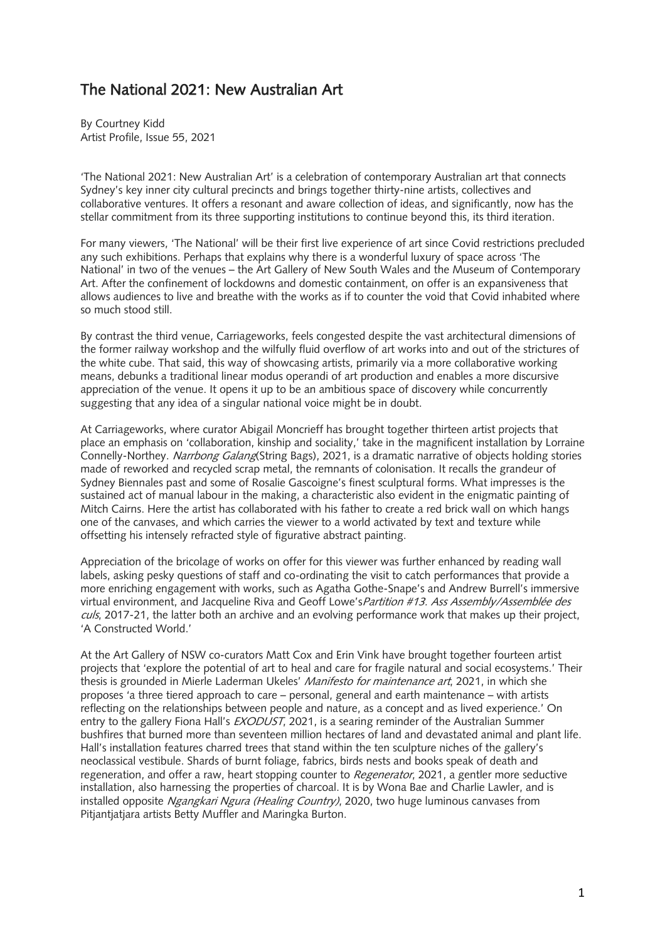## The National 2021: New Australian Art

By Courtney Kidd Artist Profile, Issue 55, 2021

'The National 2021: New Australian Art' is a celebration of contemporary Australian art that connects Sydney's key inner city cultural precincts and brings together thirty-nine artists, collectives and collaborative ventures. It offers a resonant and aware collection of ideas, and significantly, now has the stellar commitment from its three supporting institutions to continue beyond this, its third iteration.

For many viewers, 'The National' will be their first live experience of art since Covid restrictions precluded any such exhibitions. Perhaps that explains why there is a wonderful luxury of space across 'The National' in two of the venues – the Art Gallery of New South Wales and the Museum of Contemporary Art. After the confinement of lockdowns and domestic containment, on offer is an expansiveness that allows audiences to live and breathe with the works as if to counter the void that Covid inhabited where so much stood still.

By contrast the third venue, Carriageworks, feels congested despite the vast architectural dimensions of the former railway workshop and the wilfully fluid overflow of art works into and out of the strictures of the white cube. That said, this way of showcasing artists, primarily via a more collaborative working means, debunks a traditional linear modus operandi of art production and enables a more discursive appreciation of the venue. It opens it up to be an ambitious space of discovery while concurrently suggesting that any idea of a singular national voice might be in doubt.

At Carriageworks, where curator Abigail Moncrieff has brought together thirteen artist projects that place an emphasis on 'collaboration, kinship and sociality,' take in the magnificent installation by Lorraine Connelly-Northey. Narrbong Galang(String Bags), 2021, is a dramatic narrative of objects holding stories made of reworked and recycled scrap metal, the remnants of colonisation. It recalls the grandeur of Sydney Biennales past and some of Rosalie Gascoigne's finest sculptural forms. What impresses is the sustained act of manual labour in the making, a characteristic also evident in the enigmatic painting of Mitch Cairns. Here the artist has collaborated with his father to create a red brick wall on which hangs one of the canvases, and which carries the viewer to a world activated by text and texture while offsetting his intensely refracted style of figurative abstract painting.

Appreciation of the bricolage of works on offer for this viewer was further enhanced by reading wall labels, asking pesky questions of staff and co-ordinating the visit to catch performances that provide a more enriching engagement with works, such as Agatha Gothe-Snape's and Andrew Burrell's immersive virtual environment, and Jacqueline Riva and Geoff Lowe's *Partition #13. Ass Assembly/Assemblée des* culs, 2017-21, the latter both an archive and an evolving performance work that makes up their project, 'A Constructed World.'

At the Art Gallery of NSW co-curators Matt Cox and Erin Vink have brought together fourteen artist projects that 'explore the potential of art to heal and care for fragile natural and social ecosystems.' Their thesis is grounded in Mierle Laderman Ukeles' Manifesto for maintenance art, 2021, in which she proposes 'a three tiered approach to care – personal, general and earth maintenance – with artists reflecting on the relationships between people and nature, as a concept and as lived experience.' On entry to the gallery Fiona Hall's *EXODUST*, 2021, is a searing reminder of the Australian Summer bushfires that burned more than seventeen million hectares of land and devastated animal and plant life. Hall's installation features charred trees that stand within the ten sculpture niches of the gallery's neoclassical vestibule. Shards of burnt foliage, fabrics, birds nests and books speak of death and regeneration, and offer a raw, heart stopping counter to Regenerator, 2021, a gentler more seductive installation, also harnessing the properties of charcoal. It is by Wona Bae and Charlie Lawler, and is installed opposite *Ngangkari Ngura (Healing Country)*, 2020, two huge luminous canvases from Pitiantiatiara artists Betty Muffler and Maringka Burton.